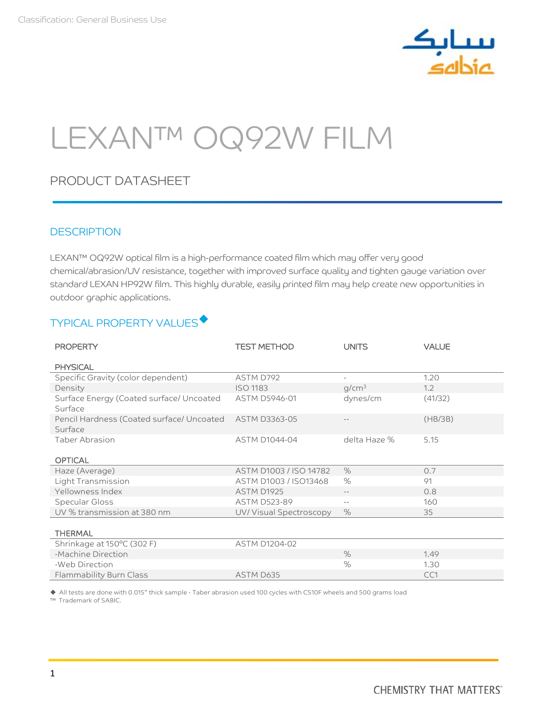

# LEXAN™ OQ92W FILM

# PRODUCT DATASHEET

## **DESCRIPTION**

LEXAN™ OQ92W optical film is a high-performance coated film which may offer very good chemical/abrasion/UV resistance, together with improved surface quality and tighten gauge variation over standard LEXAN HP92W film. This highly durable, easily printed film may help create new opportunities in outdoor graphic applications.

# TYPICAL PROPERTY VALUES<sup>+</sup>

| <b>PROPERTY</b>                                                    | <b>TEST METHOD</b>     | <b>UNITS</b>               | <b>VALUE</b> |
|--------------------------------------------------------------------|------------------------|----------------------------|--------------|
| <b>PHYSICAL</b>                                                    |                        |                            |              |
| Specific Gravity (color dependent)                                 | ASTM D792              |                            | 1.20         |
| Density                                                            | <b>ISO 1183</b>        | g/cm <sup>3</sup>          | 1.2          |
| Surface Energy (Coated surface/ Uncoated<br>Surface                | ASTM D5946-01          | dynes/cm                   | (41/32)      |
| Pencil Hardness (Coated surface/ Uncoated ASTM D3363-05<br>Surface |                        |                            | (HB/3B)      |
| <b>Taber Abrasion</b>                                              | <b>ASTM D1044-04</b>   | delta Haze %               | 5.15         |
| <b>OPTICAL</b>                                                     |                        |                            |              |
| Haze (Average)                                                     | ASTM D1003 / ISO 14782 | $\%$                       | 0.7          |
| Light Transmission                                                 | ASTM D1003 / ISO13468  | $\%$                       | 91           |
| Yellowness Index                                                   | ASTM D1925             | $-\,-$                     | 0.8          |
| Specular Gloss                                                     | <b>ASTM D523-89</b>    | $\overline{\phantom{a}}$ . | 160          |
| UV % transmission at 380 nm                                        | UV/Visual Spectroscopy | $\%$                       | 35           |
|                                                                    |                        |                            |              |
| <b>THERMAL</b>                                                     |                        |                            |              |
| Shrinkage at 150°C (302 F)                                         | <b>ASTM D1204-02</b>   |                            |              |
| -Machine Direction                                                 |                        | $\%$                       | 1.49         |
| -Web Direction                                                     |                        | $\%$                       | 1.30         |
| Flammability Burn Class                                            | ASTM D635              |                            | CC1          |

All tests are done with 0.015" thick sample - Taber abrasion used 100 cycles with CS10F wheels and 500 grams load

™ Trademark of SABIC.